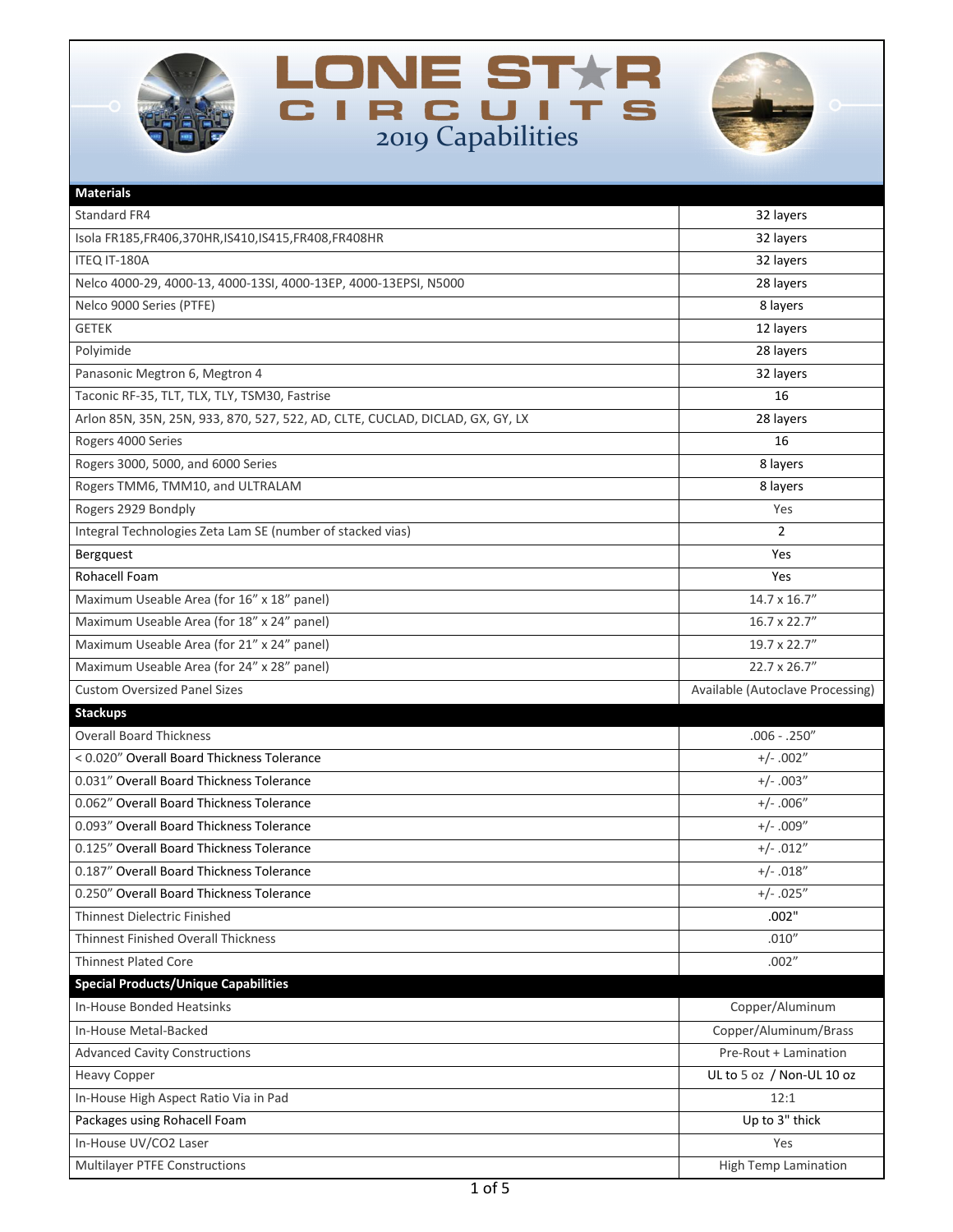





| <b>Materials</b>                                                              |                                  |
|-------------------------------------------------------------------------------|----------------------------------|
| Standard FR4                                                                  | 32 layers                        |
| Isola FR185, FR406, 370HR, IS410, IS415, FR408, FR408HR                       | 32 layers                        |
| ITEQ IT-180A                                                                  | 32 layers                        |
| Nelco 4000-29, 4000-13, 4000-13SI, 4000-13EP, 4000-13EPSI, N5000              | 28 layers                        |
| Nelco 9000 Series (PTFE)                                                      | 8 layers                         |
| <b>GETEK</b>                                                                  | 12 layers                        |
| Polyimide                                                                     | 28 layers                        |
| Panasonic Megtron 6, Megtron 4                                                | 32 layers                        |
| Taconic RF-35, TLT, TLX, TLY, TSM30, Fastrise                                 | 16                               |
| Arlon 85N, 35N, 25N, 933, 870, 527, 522, AD, CLTE, CUCLAD, DICLAD, GX, GY, LX | 28 layers                        |
| Rogers 4000 Series                                                            | 16                               |
| Rogers 3000, 5000, and 6000 Series                                            | 8 layers                         |
| Rogers TMM6, TMM10, and ULTRALAM                                              | 8 layers                         |
| Rogers 2929 Bondply                                                           | Yes                              |
| Integral Technologies Zeta Lam SE (number of stacked vias)                    | $\overline{2}$                   |
| Bergquest                                                                     | Yes                              |
| Rohacell Foam                                                                 | Yes                              |
| Maximum Useable Area (for 16" x 18" panel)                                    | 14.7 x 16.7"                     |
| Maximum Useable Area (for 18" x 24" panel)                                    | 16.7 x 22.7"                     |
| Maximum Useable Area (for 21" x 24" panel)                                    | 19.7 x 22.7"                     |
| Maximum Useable Area (for 24" x 28" panel)                                    | 22.7 x 26.7"                     |
|                                                                               |                                  |
| <b>Custom Oversized Panel Sizes</b>                                           | Available (Autoclave Processing) |
| <b>Stackups</b>                                                               |                                  |
| <b>Overall Board Thickness</b>                                                | $.006 - .250''$                  |
| < 0.020" Overall Board Thickness Tolerance                                    | $+/- .002"$                      |
| 0.031" Overall Board Thickness Tolerance                                      | $+/-.003"$                       |
| 0.062" Overall Board Thickness Tolerance                                      | $+/- .006"$                      |
| 0.093" Overall Board Thickness Tolerance                                      | $+/-.009''$                      |
| 0.125" Overall Board Thickness Tolerance                                      | $+/- .012"$                      |
| 0.187" Overall Board Thickness Tolerance                                      | $+/- .018"$                      |
| 0.250" Overall Board Thickness Tolerance                                      | $+/- .025"$                      |
| <b>Thinnest Dielectric Finished</b>                                           | .002"                            |
| <b>Thinnest Finished Overall Thickness</b>                                    | .010''                           |
| <b>Thinnest Plated Core</b>                                                   | .002''                           |
| <b>Special Products/Unique Capabilities</b>                                   |                                  |
| In-House Bonded Heatsinks                                                     | Copper/Aluminum                  |
| In-House Metal-Backed                                                         | Copper/Aluminum/Brass            |
| <b>Advanced Cavity Constructions</b>                                          | Pre-Rout + Lamination            |
| <b>Heavy Copper</b>                                                           | UL to 5 oz / Non-UL 10 oz        |
| In-House High Aspect Ratio Via in Pad                                         | 12:1                             |
| Packages using Rohacell Foam                                                  | Up to 3" thick                   |
| In-House UV/CO2 Laser                                                         | Yes                              |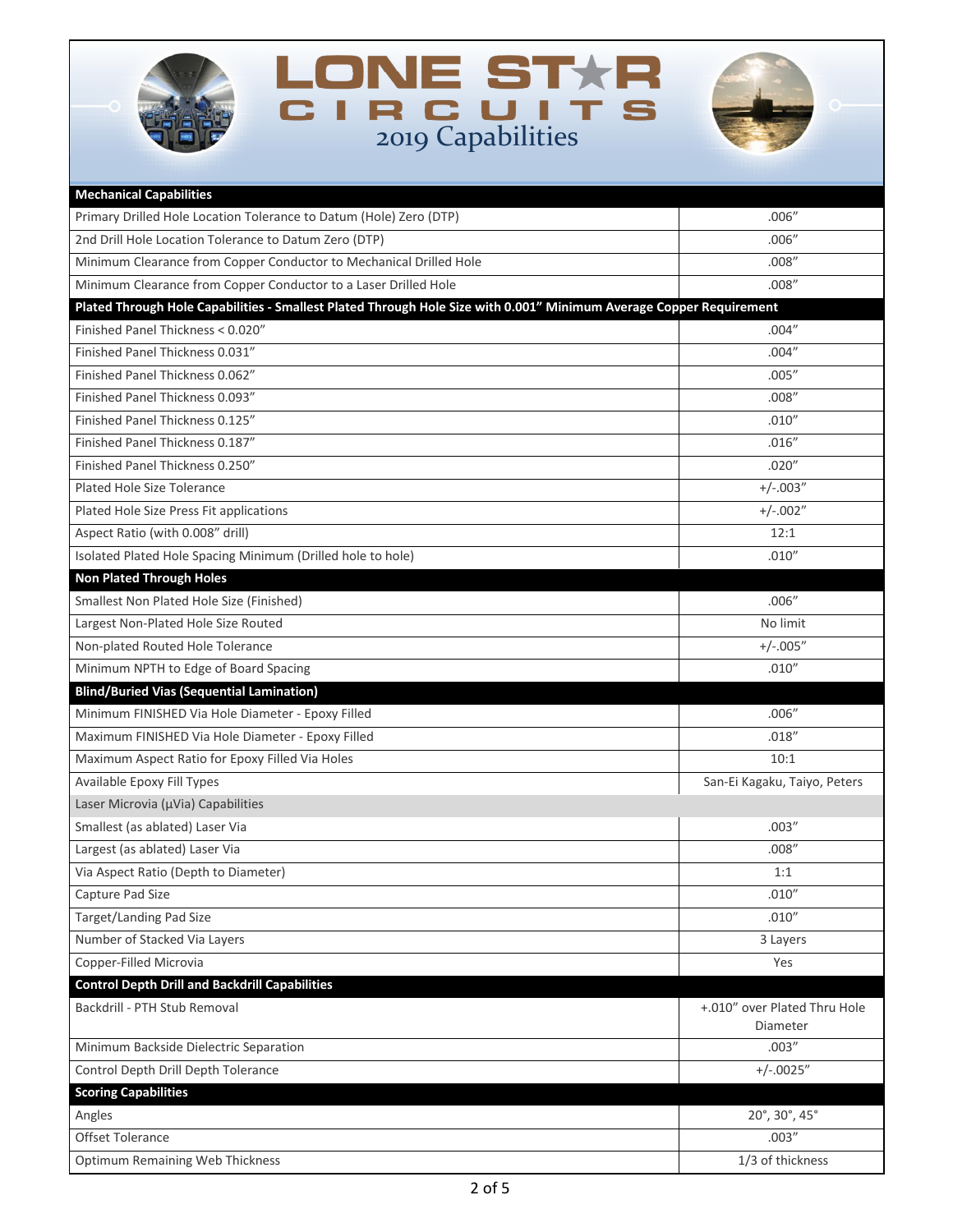





| <b>Mechanical Capabilities</b>                                                                                      |                              |
|---------------------------------------------------------------------------------------------------------------------|------------------------------|
| Primary Drilled Hole Location Tolerance to Datum (Hole) Zero (DTP)                                                  | .006''                       |
| 2nd Drill Hole Location Tolerance to Datum Zero (DTP)                                                               | .006''                       |
| Minimum Clearance from Copper Conductor to Mechanical Drilled Hole                                                  | .008''                       |
| Minimum Clearance from Copper Conductor to a Laser Drilled Hole                                                     | .008''                       |
| Plated Through Hole Capabilities - Smallest Plated Through Hole Size with 0.001" Minimum Average Copper Requirement |                              |
| Finished Panel Thickness < 0.020"                                                                                   | .004''                       |
| Finished Panel Thickness 0.031"                                                                                     | .004''                       |
| Finished Panel Thickness 0.062"                                                                                     | .005''                       |
| Finished Panel Thickness 0.093"                                                                                     | .008''                       |
| Finished Panel Thickness 0.125"                                                                                     | .010''                       |
| Finished Panel Thickness 0.187"                                                                                     | .016''                       |
| Finished Panel Thickness 0.250"                                                                                     | .020''                       |
| Plated Hole Size Tolerance                                                                                          | $+/-.003"$                   |
| Plated Hole Size Press Fit applications                                                                             | $+/-.002"$                   |
| Aspect Ratio (with 0.008" drill)                                                                                    | 12:1                         |
| Isolated Plated Hole Spacing Minimum (Drilled hole to hole)                                                         | .010''                       |
| <b>Non Plated Through Holes</b>                                                                                     |                              |
| Smallest Non Plated Hole Size (Finished)                                                                            | .006''                       |
| Largest Non-Plated Hole Size Routed                                                                                 | No limit                     |
| Non-plated Routed Hole Tolerance                                                                                    | $+/-.005"$                   |
| Minimum NPTH to Edge of Board Spacing                                                                               | .010''                       |
| <b>Blind/Buried Vias (Sequential Lamination)</b>                                                                    |                              |
| Minimum FINISHED Via Hole Diameter - Epoxy Filled                                                                   | .006''                       |
| Maximum FINISHED Via Hole Diameter - Epoxy Filled                                                                   | .018''                       |
| Maximum Aspect Ratio for Epoxy Filled Via Holes                                                                     | 10:1                         |
| Available Epoxy Fill Types                                                                                          | San-Ei Kagaku, Taiyo, Peters |
| Laser Microvia (µVia) Capabilities                                                                                  |                              |
| Smallest (as ablated) Laser Via                                                                                     | .003''                       |
| Largest (as ablated) Laser Via                                                                                      | .008''                       |
| Via Aspect Ratio (Depth to Diameter)                                                                                | 1:1                          |
| Capture Pad Size                                                                                                    | .010''                       |
| <b>Target/Landing Pad Size</b>                                                                                      | .010''                       |
| Number of Stacked Via Layers                                                                                        | 3 Layers                     |
| Copper-Filled Microvia                                                                                              | Yes                          |
| <b>Control Depth Drill and Backdrill Capabilities</b>                                                               |                              |
| Backdrill - PTH Stub Removal                                                                                        | +.010" over Plated Thru Hole |
|                                                                                                                     | Diameter                     |
| Minimum Backside Dielectric Separation                                                                              | .003''                       |
| Control Depth Drill Depth Tolerance                                                                                 | $+/-.0025"$                  |
| <b>Scoring Capabilities</b>                                                                                         |                              |
| Angles                                                                                                              | 20°, 30°, 45°                |
| Offset Tolerance                                                                                                    | .003''                       |
| <b>Optimum Remaining Web Thickness</b>                                                                              | 1/3 of thickness             |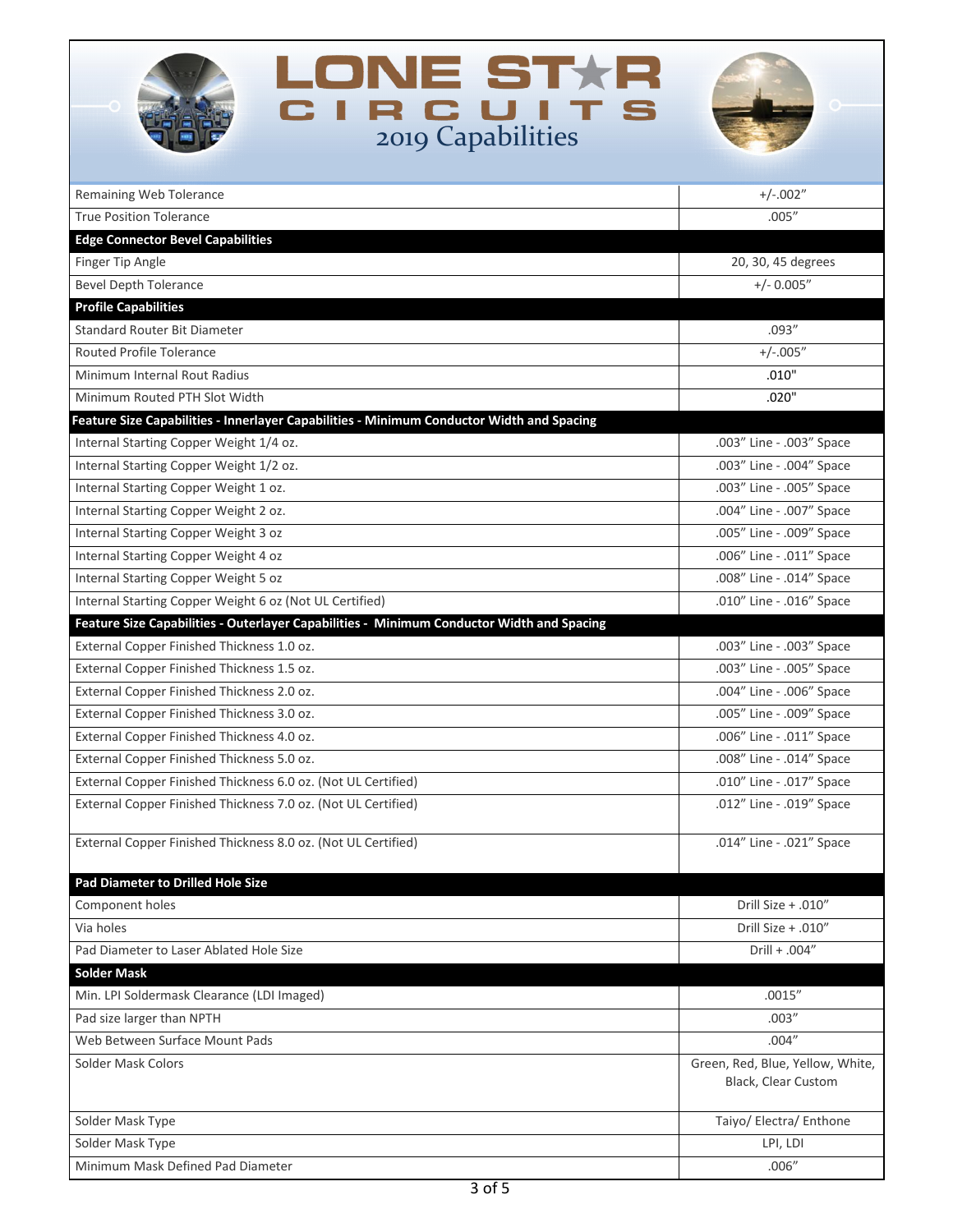| LONE ST <del>X</del> R<br><b>CIRCUIT</b><br>2019 Capabilities                             |                                                         |
|-------------------------------------------------------------------------------------------|---------------------------------------------------------|
| Remaining Web Tolerance                                                                   | $+/-.002"$                                              |
| <b>True Position Tolerance</b>                                                            | .005''                                                  |
| <b>Edge Connector Bevel Capabilities</b>                                                  |                                                         |
| Finger Tip Angle                                                                          | 20, 30, 45 degrees                                      |
| <b>Bevel Depth Tolerance</b>                                                              | $+/- 0.005"$                                            |
| <b>Profile Capabilities</b>                                                               |                                                         |
| <b>Standard Router Bit Diameter</b>                                                       | .093''                                                  |
| <b>Routed Profile Tolerance</b>                                                           | $+/-.005"$                                              |
| Minimum Internal Rout Radius                                                              | .010"                                                   |
| Minimum Routed PTH Slot Width                                                             | .020"                                                   |
| Feature Size Capabilities - Innerlayer Capabilities - Minimum Conductor Width and Spacing |                                                         |
| Internal Starting Copper Weight 1/4 oz.                                                   | .003" Line - .003" Space                                |
| Internal Starting Copper Weight 1/2 oz.                                                   | .003" Line - .004" Space                                |
| Internal Starting Copper Weight 1 oz.                                                     | .003" Line - .005" Space                                |
| Internal Starting Copper Weight 2 oz.                                                     | .004" Line - .007" Space                                |
| Internal Starting Copper Weight 3 oz                                                      | .005" Line - .009" Space                                |
| Internal Starting Copper Weight 4 oz                                                      | .006" Line - .011" Space                                |
| Internal Starting Copper Weight 5 oz                                                      | .008" Line - .014" Space                                |
| Internal Starting Copper Weight 6 oz (Not UL Certified)                                   | .010" Line - .016" Space                                |
| Feature Size Capabilities - Outerlayer Capabilities - Minimum Conductor Width and Spacing |                                                         |
| External Copper Finished Thickness 1.0 oz.                                                | .003" Line - .003" Space                                |
| External Copper Finished Thickness 1.5 oz.                                                | .003" Line - .005" Space                                |
| External Copper Finished Thickness 2.0 oz.                                                | .004" Line - .006" Space                                |
| External Copper Finished Thickness 3.0 oz.                                                | .005" Line - .009" Space                                |
| External Copper Finished Thickness 4.0 oz.                                                | .006" Line - .011" Space                                |
| External Copper Finished Thickness 5.0 oz.                                                | .008" Line - .014" Space                                |
| External Copper Finished Thickness 6.0 oz. (Not UL Certified)                             | .010" Line - .017" Space                                |
| External Copper Finished Thickness 7.0 oz. (Not UL Certified)                             | .012" Line - .019" Space                                |
|                                                                                           |                                                         |
| External Copper Finished Thickness 8.0 oz. (Not UL Certified)                             | .014" Line - .021" Space                                |
| <b>Pad Diameter to Drilled Hole Size</b>                                                  |                                                         |
| Component holes                                                                           | Drill Size + .010"                                      |
| Via holes                                                                                 | Drill Size + .010"                                      |
| Pad Diameter to Laser Ablated Hole Size                                                   | Drill + .004"                                           |
| <b>Solder Mask</b>                                                                        |                                                         |
| Min. LPI Soldermask Clearance (LDI Imaged)                                                | .0015''                                                 |
| Pad size larger than NPTH                                                                 | .003''                                                  |
| Web Between Surface Mount Pads                                                            | .004''                                                  |
| Solder Mask Colors                                                                        | Green, Red, Blue, Yellow, White,<br>Black, Clear Custom |
| Solder Mask Type                                                                          | Taiyo/ Electra/ Enthone                                 |
| Solder Mask Type                                                                          | LPI, LDI                                                |
| Minimum Mask Defined Pad Diameter                                                         | .006''                                                  |